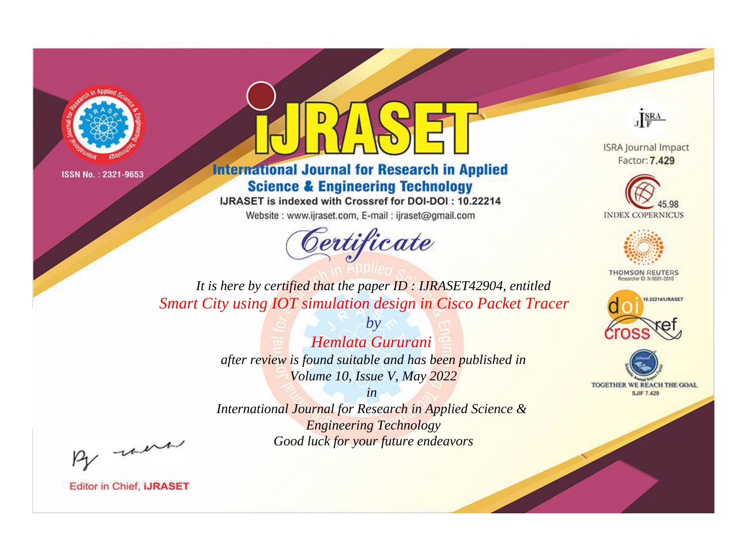



**International Journal for Research in Applied Science & Engineering Technology** 

IJRASET is indexed with Crossref for DOI-DOI: 10.22214

Website: www.ijraset.com, E-mail: ijraset@gmail.com



JERA

**ISRA Journal Impact** Factor: 7.429





**THOMSON REUTERS** 



TOGETHER WE REACH THE GOAL **SJIF 7.429** 

*It is here by certified that the paper ID : IJRASET42904, entitled Smart City using IOT simulation design in Cisco Packet Tracer*

> *by Hemlata Gururani after review is found suitable and has been published in Volume 10, Issue V, May 2022*

> > *in*

*International Journal for Research in Applied Science & Engineering Technology Good luck for your future endeavors*

By morn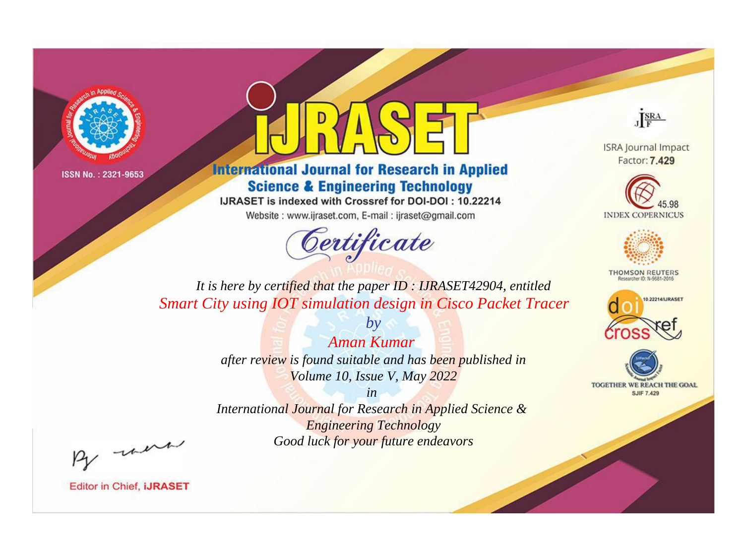



**International Journal for Research in Applied Science & Engineering Technology** 

IJRASET is indexed with Crossref for DOI-DOI: 10.22214

Website: www.ijraset.com, E-mail: ijraset@gmail.com



JERA

**ISRA Journal Impact** Factor: 7.429





**THOMSON REUTERS** 



TOGETHER WE REACH THE GOAL **SJIF 7.429** 

*It is here by certified that the paper ID : IJRASET42904, entitled Smart City using IOT simulation design in Cisco Packet Tracer*

> *Aman Kumar after review is found suitable and has been published in Volume 10, Issue V, May 2022*

*by*

*in* 

*International Journal for Research in Applied Science & Engineering Technology Good luck for your future endeavors*

By morn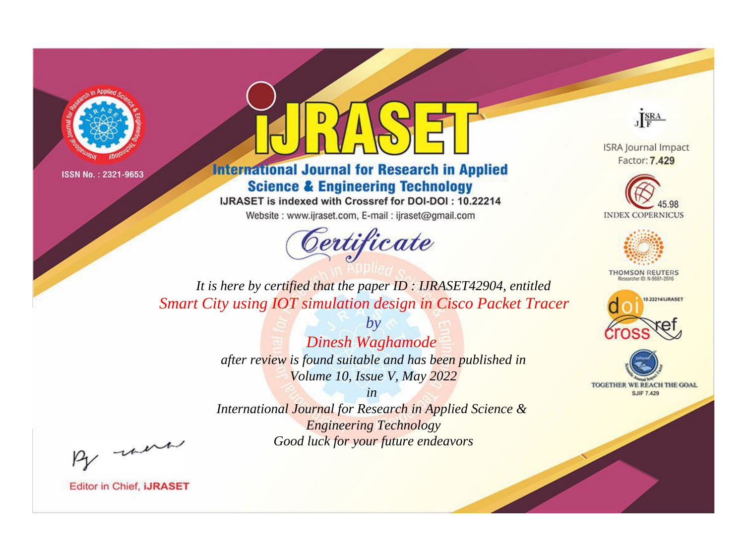



**International Journal for Research in Applied Science & Engineering Technology** 

IJRASET is indexed with Crossref for DOI-DOI: 10.22214

Website: www.ijraset.com, E-mail: ijraset@gmail.com



JERA

**ISRA Journal Impact** Factor: 7.429





**THOMSON REUTERS** 



TOGETHER WE REACH THE GOAL **SJIF 7.429** 

*It is here by certified that the paper ID : IJRASET42904, entitled Smart City using IOT simulation design in Cisco Packet Tracer*

> *by Dinesh Waghamode after review is found suitable and has been published in Volume 10, Issue V, May 2022*

> > *in*

*International Journal for Research in Applied Science & Engineering Technology Good luck for your future endeavors*

By morn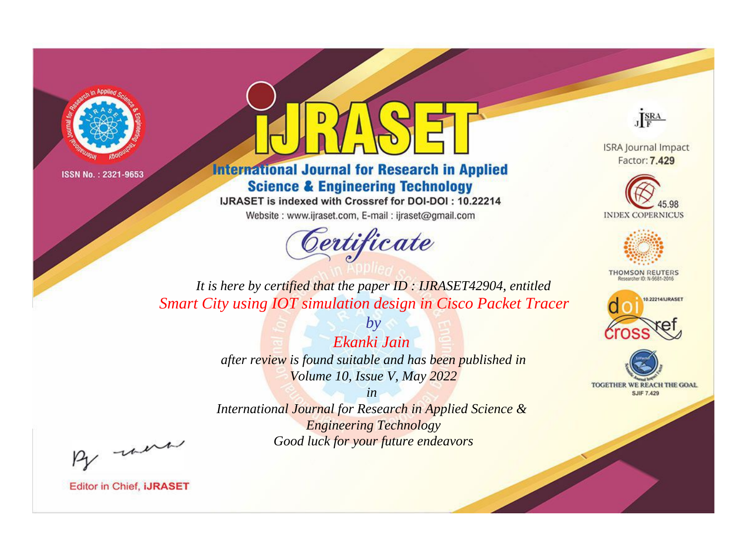



**International Journal for Research in Applied Science & Engineering Technology** 

IJRASET is indexed with Crossref for DOI-DOI: 10.22214

Website: www.ijraset.com, E-mail: ijraset@gmail.com



JERA

**ISRA Journal Impact** Factor: 7.429





**THOMSON REUTERS** 



TOGETHER WE REACH THE GOAL **SJIF 7.429** 

*It is here by certified that the paper ID : IJRASET42904, entitled Smart City using IOT simulation design in Cisco Packet Tracer*

> *by Ekanki Jain after review is found suitable and has been published in Volume 10, Issue V, May 2022*

> > *in*

*International Journal for Research in Applied Science & Engineering Technology Good luck for your future endeavors*

By morn